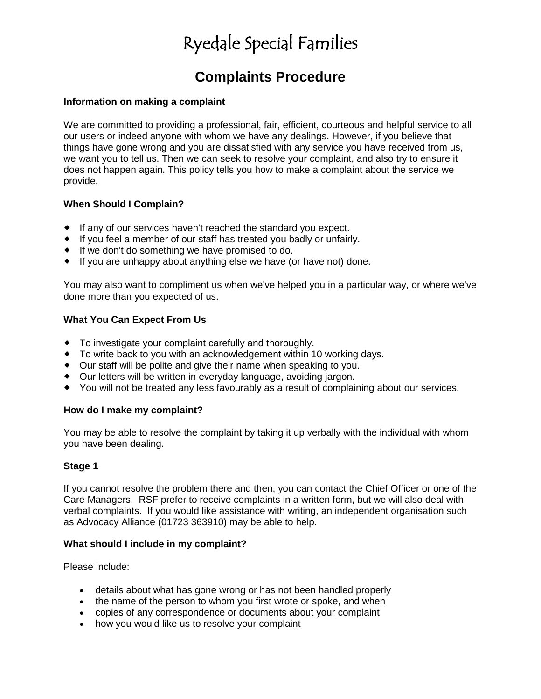# Ryedale Special Families

# **Complaints Procedure**

### **Information on making a complaint**

We are committed to providing a professional, fair, efficient, courteous and helpful service to all our users or indeed anyone with whom we have any dealings. However, if you believe that things have gone wrong and you are dissatisfied with any service you have received from us, we want you to tell us. Then we can seek to resolve your complaint, and also try to ensure it does not happen again. This policy tells you how to make a complaint about the service we provide.

## **When Should I Complain?**

- If any of our services haven't reached the standard you expect.
- If you feel a member of our staff has treated you badly or unfairly.
- $\bullet$  If we don't do something we have promised to do.
- If you are unhappy about anything else we have (or have not) done.

You may also want to compliment us when we've helped you in a particular way, or where we've done more than you expected of us.

### **What You Can Expect From Us**

- To investigate your complaint carefully and thoroughly.
- To write back to you with an acknowledgement within 10 working days.
- Our staff will be polite and give their name when speaking to you.
- Our letters will be written in everyday language, avoiding jargon.
- You will not be treated any less favourably as a result of complaining about our services.

#### **How do I make my complaint?**

You may be able to resolve the complaint by taking it up verbally with the individual with whom you have been dealing.

## **Stage 1**

If you cannot resolve the problem there and then, you can contact the Chief Officer or one of the Care Managers. RSF prefer to receive complaints in a written form, but we will also deal with verbal complaints. If you would like assistance with writing, an independent organisation such as Advocacy Alliance (01723 363910) may be able to help.

#### **What should I include in my complaint?**

Please include:

- details about what has gone wrong or has not been handled properly
- the name of the person to whom you first wrote or spoke, and when
- copies of any correspondence or documents about your complaint
- how you would like us to resolve your complaint